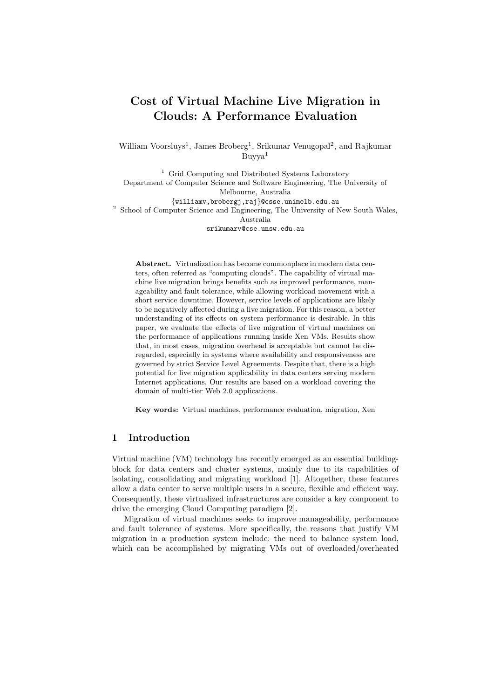# **Cost of Virtual Machine Live Migration in Clouds: A Performance Evaluation**

William Voorsluys<sup>1</sup>, James Broberg<sup>1</sup>, Srikumar Venugopal<sup>2</sup>, and Rajkumar Buyya<sup>1</sup>

<sup>1</sup> Grid Computing and Distributed Systems Laboratory Department of Computer Science and Software Engineering, The University of Melbourne, Australia *{*williamv,brobergj,raj*}*@csse.unimelb.edu.au <sup>2</sup> School of Computer Science and Engineering, The University of New South Wales, Australia

srikumarv@cse.unsw.edu.au

**Abstract.** Virtualization has become commonplace in modern data centers, often referred as "computing clouds". The capability of virtual machine live migration brings benefits such as improved performance, manageability and fault tolerance, while allowing workload movement with a short service downtime. However, service levels of applications are likely to be negatively affected during a live migration. For this reason, a better understanding of its effects on system performance is desirable. In this paper, we evaluate the effects of live migration of virtual machines on the performance of applications running inside Xen VMs. Results show that, in most cases, migration overhead is acceptable but cannot be disregarded, especially in systems where availability and responsiveness are governed by strict Service Level Agreements. Despite that, there is a high potential for live migration applicability in data centers serving modern Internet applications. Our results are based on a workload covering the domain of multi-tier Web 2.0 applications.

**Key words:** Virtual machines, performance evaluation, migration, Xen

## **1 Introduction**

Virtual machine (VM) technology has recently emerged as an essential buildingblock for data centers and cluster systems, mainly due to its capabilities of isolating, consolidating and migrating workload [1]. Altogether, these features allow a data center to serve multiple users in a secure, flexible and efficient way. Consequently, these virtualized infrastructures are consider a key component to drive the emerging Cloud Computing paradigm [2].

Migration of virtual machines seeks to improve manageability, performance and fault tolerance of systems. More specifically, the reasons that justify VM migration in a production system include: the need to balance system load, which can be accomplished by migrating VMs out of overloaded/overheated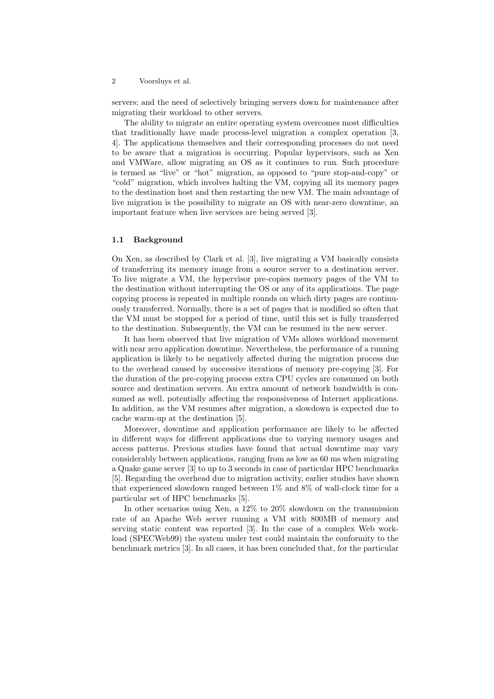servers; and the need of selectively bringing servers down for maintenance after migrating their workload to other servers.

The ability to migrate an entire operating system overcomes most difficulties that traditionally have made process-level migration a complex operation [3, 4]. The applications themselves and their corresponding processes do not need to be aware that a migration is occurring. Popular hypervisors, such as Xen and VMWare, allow migrating an OS as it continues to run. Such procedure is termed as "live" or "hot" migration, as opposed to "pure stop-and-copy" or "cold" migration, which involves halting the VM, copying all its memory pages to the destination host and then restarting the new VM. The main advantage of live migration is the possibility to migrate an OS with near-zero downtime, an important feature when live services are being served [3].

# **1.1 Background**

On Xen, as described by Clark et al. [3], live migrating a VM basically consists of transferring its memory image from a source server to a destination server. To live migrate a VM, the hypervisor pre-copies memory pages of the VM to the destination without interrupting the OS or any of its applications. The page copying process is repeated in multiple rounds on which dirty pages are continuously transferred. Normally, there is a set of pages that is modified so often that the VM must be stopped for a period of time, until this set is fully transferred to the destination. Subsequently, the VM can be resumed in the new server.

It has been observed that live migration of VMs allows workload movement with near zero application downtime. Nevertheless, the performance of a running application is likely to be negatively affected during the migration process due to the overhead caused by successive iterations of memory pre-copying [3]. For the duration of the pre-copying process extra CPU cycles are consumed on both source and destination servers. An extra amount of network bandwidth is consumed as well, potentially affecting the responsiveness of Internet applications. In addition, as the VM resumes after migration, a slowdown is expected due to cache warm-up at the destination [5].

Moreover, downtime and application performance are likely to be affected in different ways for different applications due to varying memory usages and access patterns. Previous studies have found that actual downtime may vary considerably between applications, ranging from as low as 60 ms when migrating a Quake game server [3] to up to 3 seconds in case of particular HPC benchmarks [5]. Regarding the overhead due to migration activity, earlier studies have shown that experienced slowdown ranged between 1% and 8% of wall-clock time for a particular set of HPC benchmarks [5].

In other scenarios using Xen, a 12% to 20% slowdown on the transmission rate of an Apache Web server running a VM with 800MB of memory and serving static content was reported [3]. In the case of a complex Web workload (SPECWeb99) the system under test could maintain the conformity to the benchmark metrics [3]. In all cases, it has been concluded that, for the particular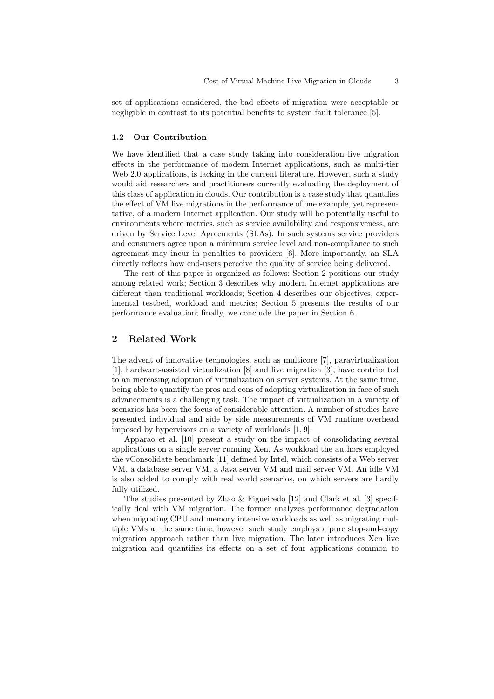set of applications considered, the bad effects of migration were acceptable or negligible in contrast to its potential benefits to system fault tolerance [5].

### **1.2 Our Contribution**

We have identified that a case study taking into consideration live migration effects in the performance of modern Internet applications, such as multi-tier Web 2.0 applications, is lacking in the current literature. However, such a study would aid researchers and practitioners currently evaluating the deployment of this class of application in clouds. Our contribution is a case study that quantifies the effect of VM live migrations in the performance of one example, yet representative, of a modern Internet application. Our study will be potentially useful to environments where metrics, such as service availability and responsiveness, are driven by Service Level Agreements (SLAs). In such systems service providers and consumers agree upon a minimum service level and non-compliance to such agreement may incur in penalties to providers [6]. More importantly, an SLA directly reflects how end-users perceive the quality of service being delivered.

The rest of this paper is organized as follows: Section 2 positions our study among related work; Section 3 describes why modern Internet applications are different than traditional workloads; Section 4 describes our objectives, experimental testbed, workload and metrics; Section 5 presents the results of our performance evaluation; finally, we conclude the paper in Section 6.

## **2 Related Work**

The advent of innovative technologies, such as multicore [7], paravirtualization [1], hardware-assisted virtualization [8] and live migration [3], have contributed to an increasing adoption of virtualization on server systems. At the same time, being able to quantify the pros and cons of adopting virtualization in face of such advancements is a challenging task. The impact of virtualization in a variety of scenarios has been the focus of considerable attention. A number of studies have presented individual and side by side measurements of VM runtime overhead imposed by hypervisors on a variety of workloads [1, 9].

Apparao et al. [10] present a study on the impact of consolidating several applications on a single server running Xen. As workload the authors employed the vConsolidate benchmark [11] defined by Intel, which consists of a Web server VM, a database server VM, a Java server VM and mail server VM. An idle VM is also added to comply with real world scenarios, on which servers are hardly fully utilized.

The studies presented by Zhao & Figueiredo [12] and Clark et al. [3] specifically deal with VM migration. The former analyzes performance degradation when migrating CPU and memory intensive workloads as well as migrating multiple VMs at the same time; however such study employs a pure stop-and-copy migration approach rather than live migration. The later introduces Xen live migration and quantifies its effects on a set of four applications common to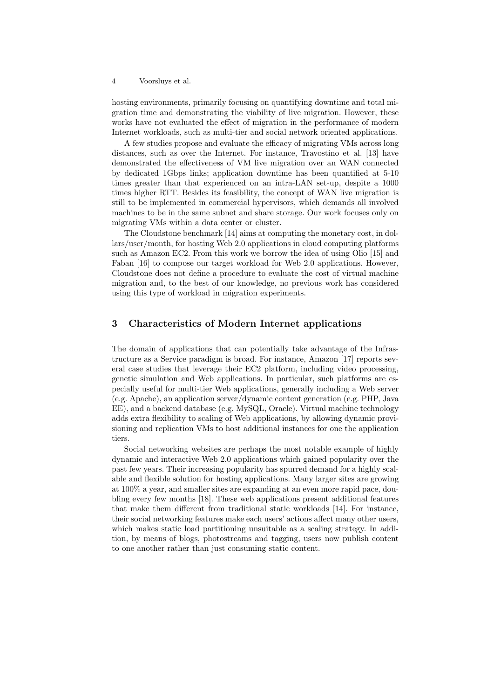hosting environments, primarily focusing on quantifying downtime and total migration time and demonstrating the viability of live migration. However, these works have not evaluated the effect of migration in the performance of modern Internet workloads, such as multi-tier and social network oriented applications.

A few studies propose and evaluate the efficacy of migrating VMs across long distances, such as over the Internet. For instance, Travostino et al. [13] have demonstrated the effectiveness of VM live migration over an WAN connected by dedicated 1Gbps links; application downtime has been quantified at 5-10 times greater than that experienced on an intra-LAN set-up, despite a 1000 times higher RTT. Besides its feasibility, the concept of WAN live migration is still to be implemented in commercial hypervisors, which demands all involved machines to be in the same subnet and share storage. Our work focuses only on migrating VMs within a data center or cluster.

The Cloudstone benchmark [14] aims at computing the monetary cost, in dollars/user/month, for hosting Web 2.0 applications in cloud computing platforms such as Amazon EC2. From this work we borrow the idea of using Olio [15] and Faban [16] to compose our target workload for Web 2.0 applications. However, Cloudstone does not define a procedure to evaluate the cost of virtual machine migration and, to the best of our knowledge, no previous work has considered using this type of workload in migration experiments.

# **3 Characteristics of Modern Internet applications**

The domain of applications that can potentially take advantage of the Infrastructure as a Service paradigm is broad. For instance, Amazon [17] reports several case studies that leverage their EC2 platform, including video processing, genetic simulation and Web applications. In particular, such platforms are especially useful for multi-tier Web applications, generally including a Web server (e.g. Apache), an application server/dynamic content generation (e.g. PHP, Java EE), and a backend database (e.g. MySQL, Oracle). Virtual machine technology adds extra flexibility to scaling of Web applications, by allowing dynamic provisioning and replication VMs to host additional instances for one the application tiers.

Social networking websites are perhaps the most notable example of highly dynamic and interactive Web 2.0 applications which gained popularity over the past few years. Their increasing popularity has spurred demand for a highly scalable and flexible solution for hosting applications. Many larger sites are growing at 100% a year, and smaller sites are expanding at an even more rapid pace, doubling every few months [18]. These web applications present additional features that make them different from traditional static workloads [14]. For instance, their social networking features make each users' actions affect many other users, which makes static load partitioning unsuitable as a scaling strategy. In addition, by means of blogs, photostreams and tagging, users now publish content to one another rather than just consuming static content.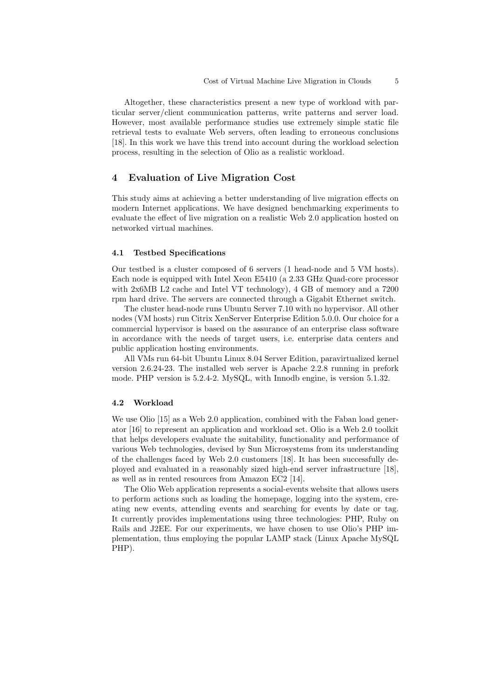Altogether, these characteristics present a new type of workload with particular server/client communication patterns, write patterns and server load. However, most available performance studies use extremely simple static file retrieval tests to evaluate Web servers, often leading to erroneous conclusions [18]. In this work we have this trend into account during the workload selection process, resulting in the selection of Olio as a realistic workload.

# **4 Evaluation of Live Migration Cost**

This study aims at achieving a better understanding of live migration effects on modern Internet applications. We have designed benchmarking experiments to evaluate the effect of live migration on a realistic Web 2.0 application hosted on networked virtual machines.

#### **4.1 Testbed Specifications**

Our testbed is a cluster composed of 6 servers (1 head-node and 5 VM hosts). Each node is equipped with Intel Xeon E5410 (a 2.33 GHz Quad-core processor with 2x6MB L2 cache and Intel VT technology), 4 GB of memory and a 7200 rpm hard drive. The servers are connected through a Gigabit Ethernet switch.

The cluster head-node runs Ubuntu Server 7.10 with no hypervisor. All other nodes (VM hosts) run Citrix XenServer Enterprise Edition 5.0.0. Our choice for a commercial hypervisor is based on the assurance of an enterprise class software in accordance with the needs of target users, i.e. enterprise data centers and public application hosting environments.

All VMs run 64-bit Ubuntu Linux 8.04 Server Edition, paravirtualized kernel version 2.6.24-23. The installed web server is Apache 2.2.8 running in prefork mode. PHP version is 5.2.4-2. MySQL, with Innodb engine, is version 5.1.32.

# **4.2 Workload**

We use Olio [15] as a Web 2.0 application, combined with the Faban load generator [16] to represent an application and workload set. Olio is a Web 2.0 toolkit that helps developers evaluate the suitability, functionality and performance of various Web technologies, devised by Sun Microsystems from its understanding of the challenges faced by Web 2.0 customers [18]. It has been successfully deployed and evaluated in a reasonably sized high-end server infrastructure [18], as well as in rented resources from Amazon EC2 [14].

The Olio Web application represents a social-events website that allows users to perform actions such as loading the homepage, logging into the system, creating new events, attending events and searching for events by date or tag. It currently provides implementations using three technologies: PHP, Ruby on Rails and J2EE. For our experiments, we have chosen to use Olio's PHP implementation, thus employing the popular LAMP stack (Linux Apache MySQL PHP).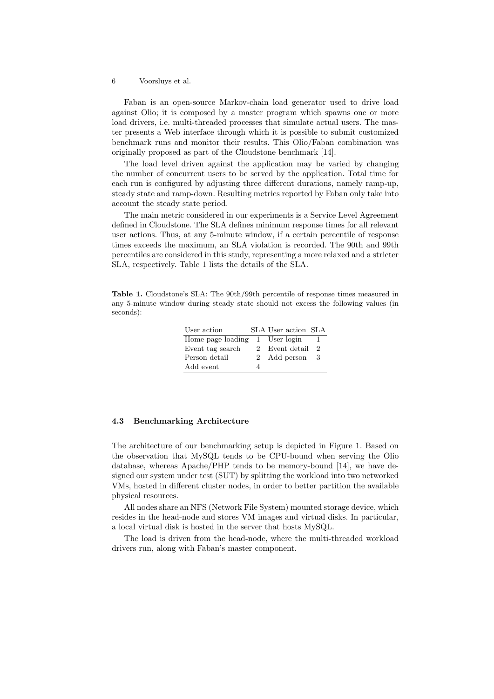Faban is an open-source Markov-chain load generator used to drive load against Olio; it is composed by a master program which spawns one or more load drivers, i.e. multi-threaded processes that simulate actual users. The master presents a Web interface through which it is possible to submit customized benchmark runs and monitor their results. This Olio/Faban combination was originally proposed as part of the Cloudstone benchmark [14].

The load level driven against the application may be varied by changing the number of concurrent users to be served by the application. Total time for each run is configured by adjusting three different durations, namely ramp-up, steady state and ramp-down. Resulting metrics reported by Faban only take into account the steady state period.

The main metric considered in our experiments is a Service Level Agreement defined in Cloudstone. The SLA defines minimum response times for all relevant user actions. Thus, at any 5-minute window, if a certain percentile of response times exceeds the maximum, an SLA violation is recorded. The 90th and 99th percentiles are considered in this study, representing a more relaxed and a stricter SLA, respectively. Table 1 lists the details of the SLA.

**Table 1.** Cloudstone's SLA: The 90th/99th percentile of response times measured in any 5-minute window during steady state should not excess the following values (in seconds):

| User action       |             | SLA User action SLA |               |
|-------------------|-------------|---------------------|---------------|
| Home page loading |             | $1$ User login      |               |
| Event tag search  | $2^{\circ}$ | Event detail        | $\mathcal{D}$ |
| Person detail     |             | Add person          | 3             |
| Add event         |             |                     |               |

## **4.3 Benchmarking Architecture**

The architecture of our benchmarking setup is depicted in Figure 1. Based on the observation that MySQL tends to be CPU-bound when serving the Olio database, whereas Apache/PHP tends to be memory-bound [14], we have designed our system under test (SUT) by splitting the workload into two networked VMs, hosted in different cluster nodes, in order to better partition the available physical resources.

All nodes share an NFS (Network File System) mounted storage device, which resides in the head-node and stores VM images and virtual disks. In particular, a local virtual disk is hosted in the server that hosts MySQL.

The load is driven from the head-node, where the multi-threaded workload drivers run, along with Faban's master component.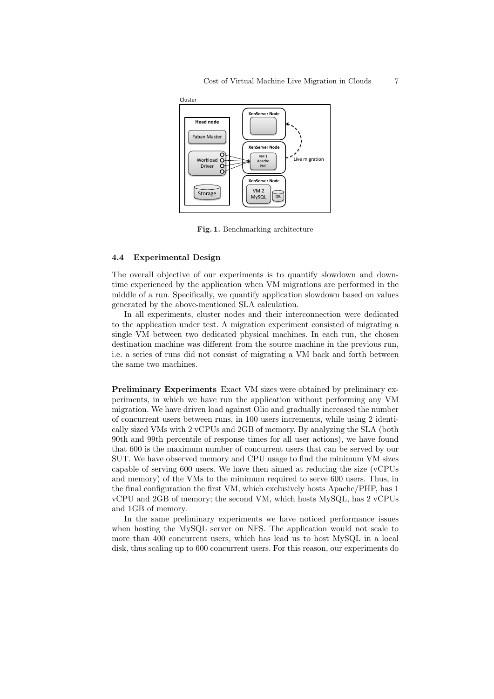

**Fig. 1.** Benchmarking architecture

### **4.4 Experimental Design**

The overall objective of our experiments is to quantify slowdown and downtime experienced by the application when VM migrations are performed in the middle of a run. Specifically, we quantify application slowdown based on values generated by the above-mentioned SLA calculation.

In all experiments, cluster nodes and their interconnection were dedicated to the application under test. A migration experiment consisted of migrating a single VM between two dedicated physical machines. In each run, the chosen destination machine was different from the source machine in the previous run, i.e. a series of runs did not consist of migrating a VM back and forth between the same two machines.

**Preliminary Experiments** Exact VM sizes were obtained by preliminary experiments, in which we have run the application without performing any VM migration. We have driven load against Olio and gradually increased the number of concurrent users between runs, in 100 users increments, while using 2 identically sized VMs with 2 vCPUs and 2GB of memory. By analyzing the SLA (both 90th and 99th percentile of response times for all user actions), we have found that 600 is the maximum number of concurrent users that can be served by our SUT. We have observed memory and CPU usage to find the minimum VM sizes capable of serving 600 users. We have then aimed at reducing the size (vCPUs and memory) of the VMs to the minimum required to serve 600 users. Thus, in the final configuration the first VM, which exclusively hosts Apache/PHP, has 1 vCPU and 2GB of memory; the second VM, which hosts MySQL, has 2 vCPUs and 1GB of memory.

In the same preliminary experiments we have noticed performance issues when hosting the MySQL server on NFS. The application would not scale to more than 400 concurrent users, which has lead us to host MySQL in a local disk, thus scaling up to 600 concurrent users. For this reason, our experiments do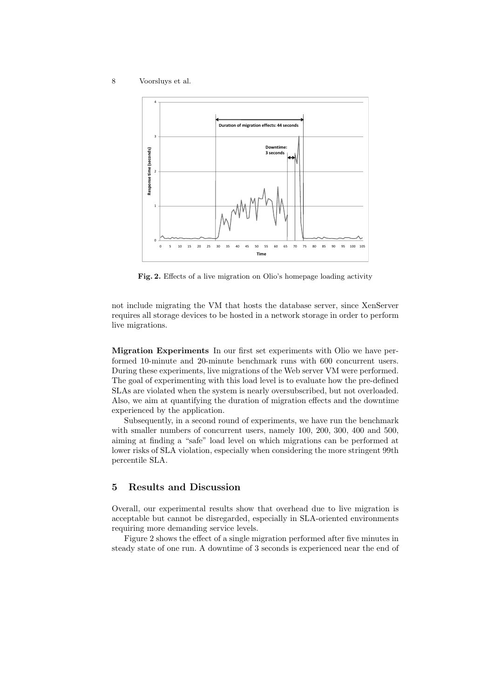

**Fig. 2.** Effects of a live migration on Olio's homepage loading activity

not include migrating the VM that hosts the database server, since XenServer requires all storage devices to be hosted in a network storage in order to perform live migrations.

**Migration Experiments** In our first set experiments with Olio we have performed 10-minute and 20-minute benchmark runs with 600 concurrent users. During these experiments, live migrations of the Web server VM were performed. The goal of experimenting with this load level is to evaluate how the pre-defined SLAs are violated when the system is nearly oversubscribed, but not overloaded. Also, we aim at quantifying the duration of migration effects and the downtime experienced by the application.

Subsequently, in a second round of experiments, we have run the benchmark with smaller numbers of concurrent users, namely 100, 200, 300, 400 and 500, aiming at finding a "safe" load level on which migrations can be performed at lower risks of SLA violation, especially when considering the more stringent 99th percentile SLA.

# **5 Results and Discussion**

Overall, our experimental results show that overhead due to live migration is acceptable but cannot be disregarded, especially in SLA-oriented environments requiring more demanding service levels.

Figure 2 shows the effect of a single migration performed after five minutes in steady state of one run. A downtime of 3 seconds is experienced near the end of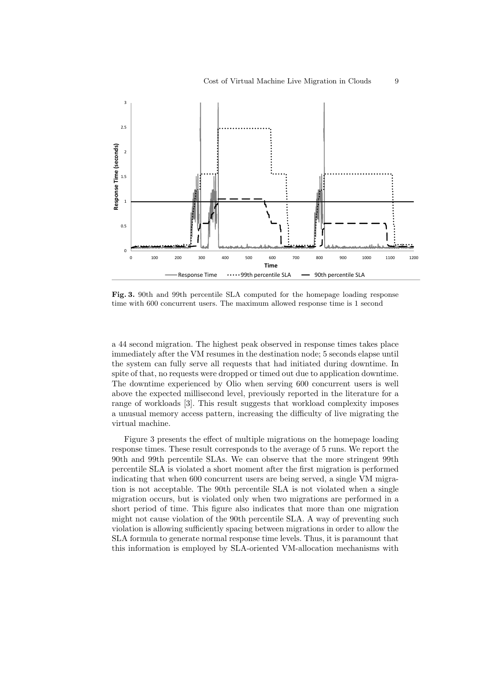

**Fig. 3.** 90th and 99th percentile SLA computed for the homepage loading response time with 600 concurrent users. The maximum allowed response time is 1 second

a 44 second migration. The highest peak observed in response times takes place immediately after the VM resumes in the destination node; 5 seconds elapse until the system can fully serve all requests that had initiated during downtime. In spite of that, no requests were dropped or timed out due to application downtime. The downtime experienced by Olio when serving 600 concurrent users is well above the expected millisecond level, previously reported in the literature for a range of workloads [3]. This result suggests that workload complexity imposes a unusual memory access pattern, increasing the difficulty of live migrating the virtual machine.

Figure 3 presents the effect of multiple migrations on the homepage loading response times. These result corresponds to the average of 5 runs. We report the 90th and 99th percentile SLAs. We can observe that the more stringent 99th percentile SLA is violated a short moment after the first migration is performed indicating that when 600 concurrent users are being served, a single VM migration is not acceptable. The 90th percentile SLA is not violated when a single migration occurs, but is violated only when two migrations are performed in a short period of time. This figure also indicates that more than one migration might not cause violation of the 90th percentile SLA. A way of preventing such violation is allowing sufficiently spacing between migrations in order to allow the SLA formula to generate normal response time levels. Thus, it is paramount that this information is employed by SLA-oriented VM-allocation mechanisms with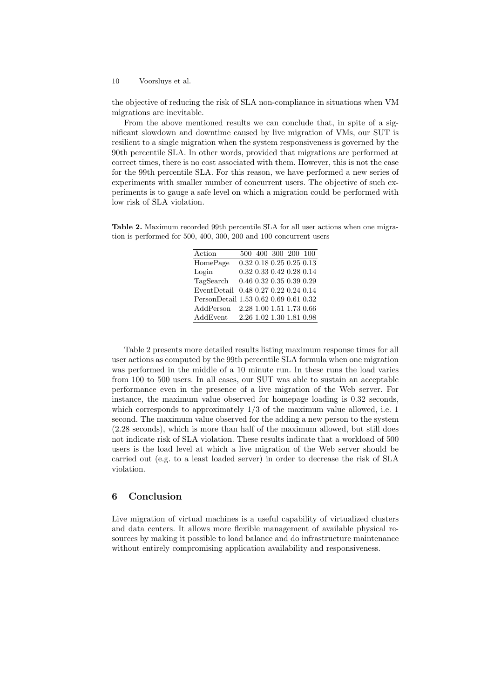the objective of reducing the risk of SLA non-compliance in situations when VM migrations are inevitable.

From the above mentioned results we can conclude that, in spite of a significant slowdown and downtime caused by live migration of VMs, our SUT is resilient to a single migration when the system responsiveness is governed by the 90th percentile SLA. In other words, provided that migrations are performed at correct times, there is no cost associated with them. However, this is not the case for the 99th percentile SLA. For this reason, we have performed a new series of experiments with smaller number of concurrent users. The objective of such experiments is to gauge a safe level on which a migration could be performed with low risk of SLA violation.

**Table 2.** Maximum recorded 99th percentile SLA for all user actions when one migration is performed for 500, 400, 300, 200 and 100 concurrent users

| Action                                | 500 400 300 200 100                |  |  |
|---------------------------------------|------------------------------------|--|--|
| HomePage                              | 0.32 0.18 0.25 0.25 0.13           |  |  |
| Login                                 | 0.32 0.33 0.42 0.28 0.14           |  |  |
| TagSearch                             | $0.46$ $0.32$ $0.35$ $0.39$ $0.29$ |  |  |
| EventDetail                           | 0.48 0.27 0.22 0.24 0.14           |  |  |
| PersonDetail 1.53 0.62 0.69 0.61 0.32 |                                    |  |  |
| AddPerson                             | 2.28 1.00 1.51 1.73 0.66           |  |  |
| AddEvent                              | 2.26 1.02 1.30 1.81 0.98           |  |  |

Table 2 presents more detailed results listing maximum response times for all user actions as computed by the 99th percentile SLA formula when one migration was performed in the middle of a 10 minute run. In these runs the load varies from 100 to 500 users. In all cases, our SUT was able to sustain an acceptable performance even in the presence of a live migration of the Web server. For instance, the maximum value observed for homepage loading is 0.32 seconds, which corresponds to approximately 1/3 of the maximum value allowed, i.e. 1 second. The maximum value observed for the adding a new person to the system (2.28 seconds), which is more than half of the maximum allowed, but still does not indicate risk of SLA violation. These results indicate that a workload of 500 users is the load level at which a live migration of the Web server should be carried out (e.g. to a least loaded server) in order to decrease the risk of SLA violation.

# **6 Conclusion**

Live migration of virtual machines is a useful capability of virtualized clusters and data centers. It allows more flexible management of available physical resources by making it possible to load balance and do infrastructure maintenance without entirely compromising application availability and responsiveness.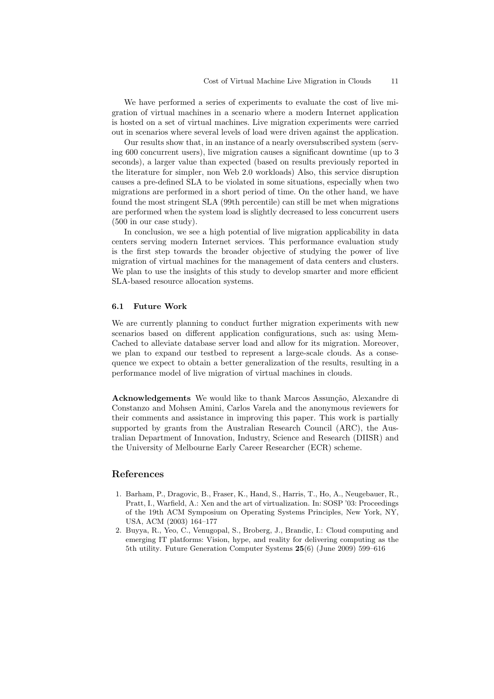We have performed a series of experiments to evaluate the cost of live migration of virtual machines in a scenario where a modern Internet application is hosted on a set of virtual machines. Live migration experiments were carried out in scenarios where several levels of load were driven against the application.

Our results show that, in an instance of a nearly oversubscribed system (serving 600 concurrent users), live migration causes a significant downtime (up to 3 seconds), a larger value than expected (based on results previously reported in the literature for simpler, non Web 2.0 workloads) Also, this service disruption causes a pre-defined SLA to be violated in some situations, especially when two migrations are performed in a short period of time. On the other hand, we have found the most stringent SLA (99th percentile) can still be met when migrations are performed when the system load is slightly decreased to less concurrent users (500 in our case study).

In conclusion, we see a high potential of live migration applicability in data centers serving modern Internet services. This performance evaluation study is the first step towards the broader objective of studying the power of live migration of virtual machines for the management of data centers and clusters. We plan to use the insights of this study to develop smarter and more efficient SLA-based resource allocation systems.

#### **6.1 Future Work**

We are currently planning to conduct further migration experiments with new scenarios based on different application configurations, such as: using Mem-Cached to alleviate database server load and allow for its migration. Moreover, we plan to expand our testbed to represent a large-scale clouds. As a consequence we expect to obtain a better generalization of the results, resulting in a performance model of live migration of virtual machines in clouds.

**Acknowledgements** We would like to thank Marcos Assunção, Alexandre di Constanzo and Mohsen Amini, Carlos Varela and the anonymous reviewers for their comments and assistance in improving this paper. This work is partially supported by grants from the Australian Research Council (ARC), the Australian Department of Innovation, Industry, Science and Research (DIISR) and the University of Melbourne Early Career Researcher (ECR) scheme.

# **References**

- 1. Barham, P., Dragovic, B., Fraser, K., Hand, S., Harris, T., Ho, A., Neugebauer, R., Pratt, I., Warfield, A.: Xen and the art of virtualization. In: SOSP '03: Proceedings of the 19th ACM Symposium on Operating Systems Principles, New York, NY, USA, ACM (2003) 164–177
- 2. Buyya, R., Yeo, C., Venugopal, S., Broberg, J., Brandic, I.: Cloud computing and emerging IT platforms: Vision, hype, and reality for delivering computing as the 5th utility. Future Generation Computer Systems **25**(6) (June 2009) 599–616